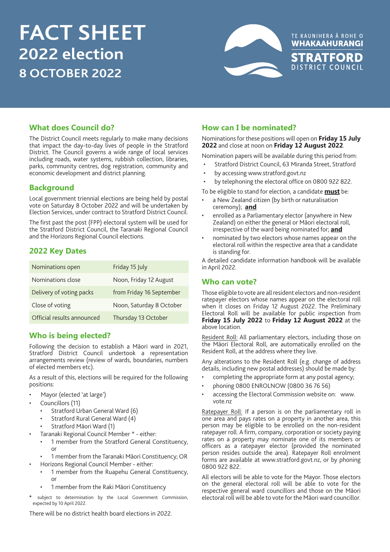# **FACT SHEET 2022 election 8 OCTOBER 2022**



# **What does Council do?**

The District Council meets regularly to make many decisions that impact the day-to-day lives of people in the Stratford District. The Council governs a wide range of local services including roads, water systems, rubbish collection, libraries, parks, community centres, dog registration, community and economic development and district planning.

# **Background**

Local government triennial elections are being held by postal vote on Saturday 8 October 2022 and will be undertaken by Election Services, under contract to Stratford District Council.

The first past the post (FPP) electoral system will be used for the Stratford District Council, the Taranaki Regional Council and the Horizons Regional Council elections.

# **2022 Key Dates**

| Nominations open           | Friday 15 July           |
|----------------------------|--------------------------|
| Nominations close          | Noon, Friday 12 August   |
| Delivery of voting packs   | from Friday 16 September |
| Close of voting            | Noon, Saturday 8 October |
| Official results announced | Thursday 13 October      |

# **Who is being elected?**

Following the decision to establish a Māori ward in 2021, Stratford District Council undertook a representation arrangements review (review of wards, boundaries, numbers of elected members etc).

As a result of this, elections will be required for the following positions:

- Mayor (elected 'at large')
- Councillors (11)
	- Stratford Urban General Ward (6)
	- Stratford Rural General Ward (4)
	- Stratford Māori Ward (1)
	- Taranaki Regional Council Member \* either:
	- 1 member from the Stratford General Constituency, or
	- 1 member from the Taranaki Māori Constituency; OR
- Horizons Regional Council Member either:
	- 1 member from the Ruapehu General Constituency, or
	- 1 member from the Raki Māori Constituency
- **\*** subject to determination by the Local Government Commission, expected by 10 April 2022.

There will be no district health board elections in 2022.

# **How can I be nominated?**

Nominations for these positions will open on **Friday 15 July 2022** and close at noon on **Friday 12 August 2022**.

Nomination papers will be available during this period from:

- Stratford District Council, 63 Miranda Street, Stratford
- by accessing www.stratford.govt.nz
- by telephoning the electoral office on 0800 922 822.

To be eligible to stand for election, a candidate **must** be:

- a New Zealand citizen (by birth or naturalisation ceremony); **and**
- enrolled as a Parliamentary elector (anywhere in New Zealand) on either the general or Māori electoral roll, irrespective of the ward being nominated for; **and**
- nominated by two electors whose names appear on the electoral roll within the respective area that a candidate is standing for.

A detailed candidate information handbook will be available in April 2022.

# **Who can vote?**

Those eligible to vote are all resident electors and non-resident ratepayer electors whose names appear on the electoral roll when it closes on Friday 12 August 2022. The Preliminary Electoral Roll will be available for public inspection from **Friday 15 July 2022** to **Friday 12 August 2022** at the above location.

Resident Roll: All parliamentary electors, including those on the Māori Electoral Roll, are automatically enrolled on the Resident Roll, at the address where they live.

Any alterations to the Resident Roll (e.g. change of address details, including new postal addresses) should be made by:

- completing the appropriate form at any postal agency;
- phoning 0800 ENROLNOW (0800 36 76 56)
- accessing the Electoral Commission website on: www. vote.nz

Ratepayer Roll: If a person is on the parliamentary roll in one area and pays rates on a property in another area, this person may be eligible to be enrolled on the non-resident ratepayer roll. A firm, company, corporation or society paying rates on a property may nominate one of its members or officers as a ratepayer elector (provided the nominated person resides outside the area). Ratepayer Roll enrolment forms are available at www.stratford.govt.nz, or by phoning 0800 922 822.

All electors will be able to vote for the Mayor. Those electors on the general electoral roll will be able to vote for the respective general ward councillors and those on the Māori electoral roll will be able to vote for the Māori ward councillor.